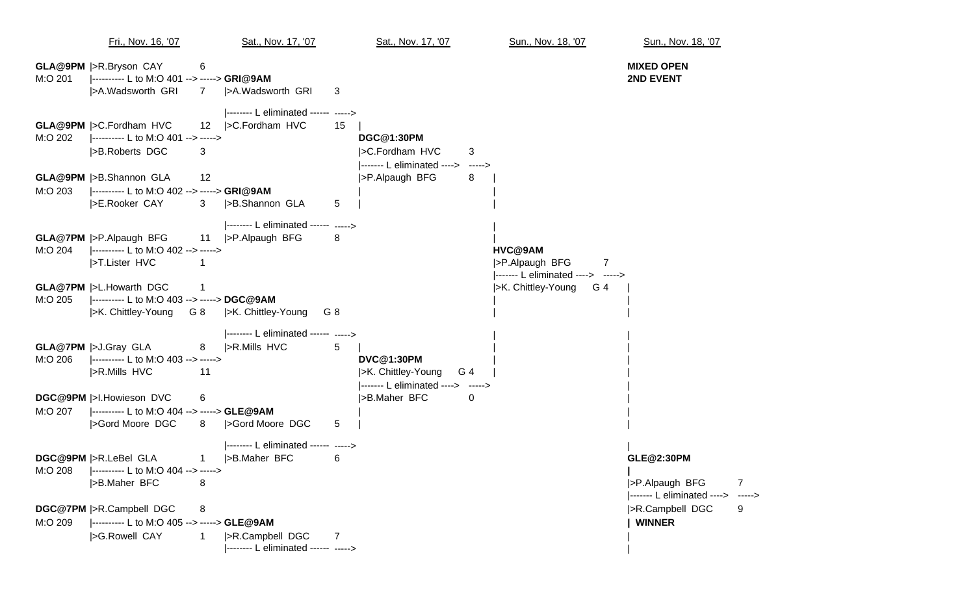Fri., Nov. 16, '07 Sat., Nov. 17, '07 Sat., Nov. 17, '07 Sun., Nov. 18, '07 Sun., Nov. 18, '07 **GLA@9PM** |>R.Bryson CAY 6 **MIXED OPEN** M:O 201 |---------- L to M:O 401 --> -----> **GRI@9AM 2ND EVENT** |>A.Wadsworth GRI 7 |>A.Wadsworth GRI 3 |-------- L eliminated ------ -----> **GLA@9PM** |>C.Fordham HVC 12 | > C.Fordham HVC 15 M:O 202 |---------- L to M:O 401 --> -----> **DGC@1:30PM** |>B.Roberts DGC 3 || 3 || 3 || 2C.Fordham HVC 3 |------- L eliminated ----> -----> **GLA@9PM** |>B.Shannon GLA 12 |>P.Alpaugh BFG 8 | M:O 203 |---------- L to M:O 402 --> -----> **GRI@9AM** | | |>E.Rooker CAY 3 |>B.Shannon GLA 5 | | |-------- L eliminated ------ -----> **GLA@7PM** |>P.Alpaugh BFG 11 |>P.Alpaugh BFG 8 M:O 204 |---------- L to M:O 402 --> -----> **HVC@9AM** |>T.Lister HVC 1 |>P.Alpaugh BFG 7 |------- L eliminated ----> -----> **GLA@7PM** |>L.Howarth DGC 1 **1 Example 1 is a large 1 and 2 is a large 1 and 2 is a large 1 and 2 is**  $|>$ **K. Chittley-Young G 4**  $|>$ **K. Chittley-Young G 4** M:O 205 |---------- L to M:O 403 --> -----> **DGC@9AM** | | |>K. Chittley-Young G 8 |>K. Chittley-Young G 8 | | |-------- L eliminated ------ -----> **GLA@7PM** |>J.Gray GLA 8 |>R.Mills HVC 5 M:O 206 |---------- L to M:O 403 --> -----> **DVC@1:30PM** | | |>R.Mills HVC 11 | |>R.Mills HVC 54 |------- L eliminated ----> -----> | **DGC@9PM** |>I.Howieson DVC 6 |>B.Maher BFC 0 | M:O 207 |---------- L to M:O 404 --> -----> **GLE@9AM** |>Gord Moore DGC 8 |>Gord Moore DGC 5 | | |-------- L eliminated ------ -----> | DGC@9PM |>R.LeBel GLA |>R.LeBel GLA 1 |>B.Maher BFC 6 **GLE@2:30PM** M:O 208 |---------- L to M:O 404 --> -----> **|** |>B.Maher BFC 8 |>P.Alpaugh BFG 7 |------- L eliminated ----> -----> **DGC@7PM** |>R.Campbell DGC 8 |>R.Campbell DGC 9 M:O 209 |---------- L to M:O 405 --> -----> **GLE@9AM | WINNER** |>G.Rowell CAY 1 |>R.Campbell DGC 7 | |-------- L eliminated ------ -----> |